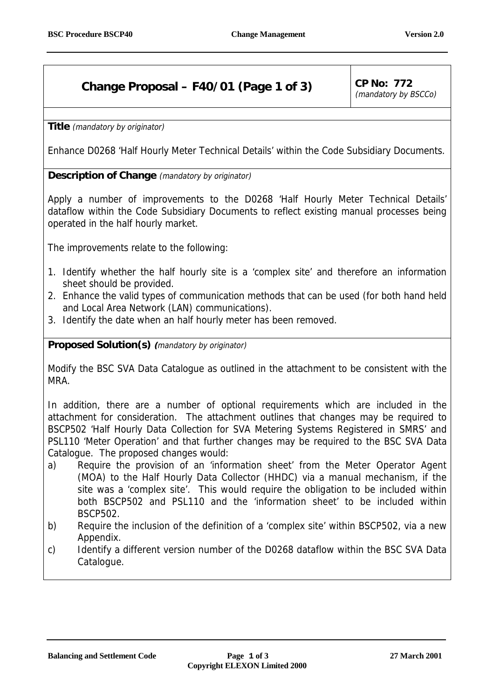## **Change Proposal – F40/01 (Page 1 of 3)** CP No: 772

(mandatory by BSCCo)

**Title** (mandatory by originator)

Enhance D0268 'Half Hourly Meter Technical Details' within the Code Subsidiary Documents.

## **Description of Change** (mandatory by originator)

Apply a number of improvements to the D0268 'Half Hourly Meter Technical Details' dataflow within the Code Subsidiary Documents to reflect existing manual processes being operated in the half hourly market.

The improvements relate to the following:

- 1. Identify whether the half hourly site is a 'complex site' and therefore an information sheet should be provided.
- 2. Enhance the valid types of communication methods that can be used (for both hand held and Local Area Network (LAN) communications).
- 3. Identify the date when an half hourly meter has been removed.

## **Proposed Solution(s) (**mandatory by originator)

Modify the BSC SVA Data Catalogue as outlined in the attachment to be consistent with the MRA.

In addition, there are a number of optional requirements which are included in the attachment for consideration. The attachment outlines that changes may be required to BSCP502 'Half Hourly Data Collection for SVA Metering Systems Registered in SMRS' and PSL110 'Meter Operation' and that further changes may be required to the BSC SVA Data Catalogue. The proposed changes would:

- a) Require the provision of an 'information sheet' from the Meter Operator Agent (MOA) to the Half Hourly Data Collector (HHDC) via a manual mechanism, if the site was a 'complex site'. This would require the obligation to be included within both BSCP502 and PSL110 and the 'information sheet' to be included within BSCP502.
- b) Require the inclusion of the definition of a 'complex site' within BSCP502, via a new Appendix.
- c) Identify a different version number of the D0268 dataflow within the BSC SVA Data Catalogue.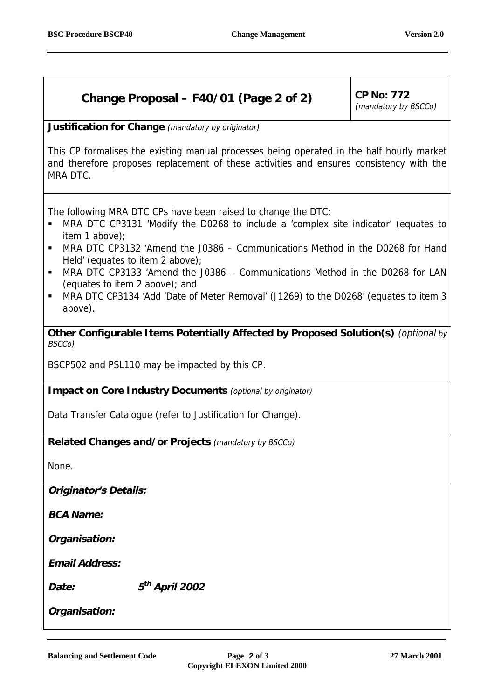## **Change Proposal – F40/01 (Page 2 of 2) CP No: 772**

(mandatory by BSCCo)

**Justification for Change** (mandatory by originator)

This CP formalises the existing manual processes being operated in the half hourly market and therefore proposes replacement of these activities and ensures consistency with the MRA DTC.

The following MRA DTC CPs have been raised to change the DTC:

- ! MRA DTC CP3131 'Modify the D0268 to include a 'complex site indicator' (equates to item 1 above);
- ! MRA DTC CP3132 'Amend the J0386 Communications Method in the D0268 for Hand Held' (equates to item 2 above);
- ! MRA DTC CP3133 'Amend the J0386 Communications Method in the D0268 for LAN (equates to item 2 above); and
- ! MRA DTC CP3134 'Add 'Date of Meter Removal' (J1269) to the D0268' (equates to item 3 above).

**Other Configurable Items Potentially Affected by Proposed Solution(s)** (optional by BSCCo)

BSCP502 and PSL110 may be impacted by this CP.

**Impact on Core Industry Documents** (optional by originator)

Data Transfer Catalogue (refer to Justification for Change).

**Related Changes and/or Projects** (mandatory by BSCCo)

None.

**Originator's Details:**

**BCA Name:** 

**Organisation:**

**Email Address:** 

**Date: 5th April 2002**

**Organisation:**